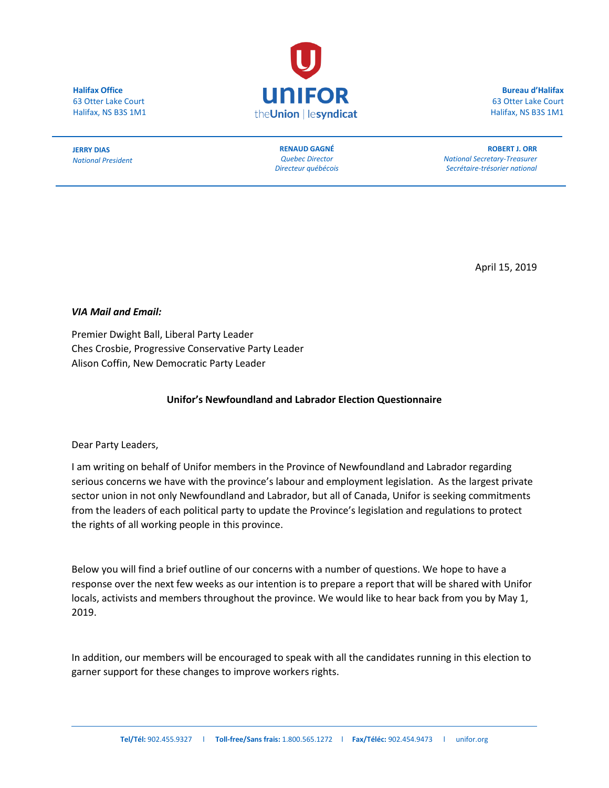**Halifax Office** 63 Otter Lake Court Halifax, NS B3S 1M1



**Bureau d'Halifax** 63 Otter Lake Court Halifax, NS B3S 1M1

**JERRY DIAS** *National President*

**RENAUD GAGNÉ** *Quebec Director Directeur québécois*

**ROBERT J. ORR** *National Secretary-Treasurer Secrétaire-trésorier national*

April 15, 2019

*VIA Mail and Email:*

Premier Dwight Ball, Liberal Party Leader Ches Crosbie, Progressive Conservative Party Leader Alison Coffin, New Democratic Party Leader

## **Unifor's Newfoundland and Labrador Election Questionnaire**

Dear Party Leaders,

I am writing on behalf of Unifor members in the Province of Newfoundland and Labrador regarding serious concerns we have with the province's labour and employment legislation. As the largest private sector union in not only Newfoundland and Labrador, but all of Canada, Unifor is seeking commitments from the leaders of each political party to update the Province's legislation and regulations to protect the rights of all working people in this province.

Below you will find a brief outline of our concerns with a number of questions. We hope to have a response over the next few weeks as our intention is to prepare a report that will be shared with Unifor locals, activists and members throughout the province. We would like to hear back from you by May 1, 2019.

In addition, our members will be encouraged to speak with all the candidates running in this election to garner support for these changes to improve workers rights.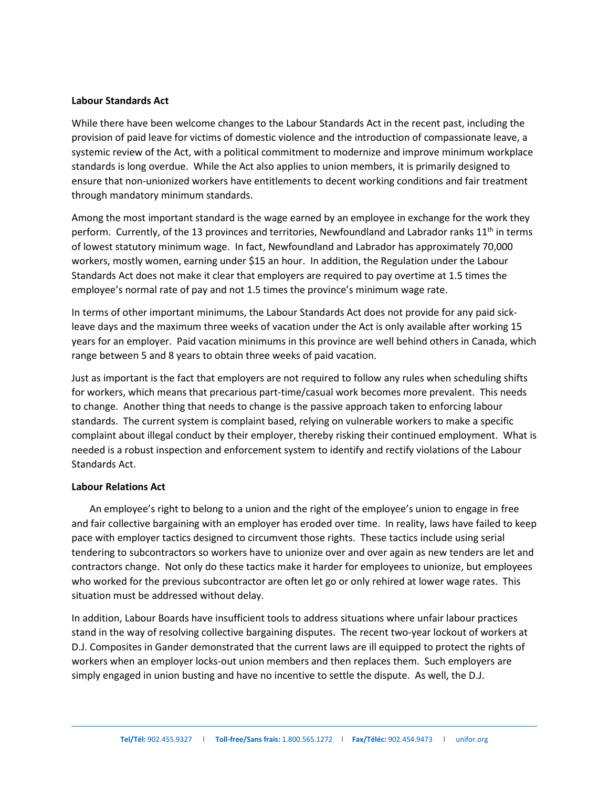### **Labour Standards Act**

While there have been welcome changes to the Labour Standards Act in the recent past, including the provision of paid leave for victims of domestic violence and the introduction of compassionate leave, a systemic review of the Act, with a political commitment to modernize and improve minimum workplace standards is long overdue. While the Act also applies to union members, it is primarily designed to ensure that non-unionized workers have entitlements to decent working conditions and fair treatment through mandatory minimum standards.

Among the most important standard is the wage earned by an employee in exchange for the work they perform. Currently, of the 13 provinces and territories, Newfoundland and Labrador ranks  $11<sup>th</sup>$  in terms of lowest statutory minimum wage. In fact, Newfoundland and Labrador has approximately 70,000 workers, mostly women, earning under \$15 an hour. In addition, the Regulation under the Labour Standards Act does not make it clear that employers are required to pay overtime at 1.5 times the employee's normal rate of pay and not 1.5 times the province's minimum wage rate.

In terms of other important minimums, the Labour Standards Act does not provide for any paid sickleave days and the maximum three weeks of vacation under the Act is only available after working 15 years for an employer. Paid vacation minimums in this province are well behind others in Canada, which range between 5 and 8 years to obtain three weeks of paid vacation.

Just as important is the fact that employers are not required to follow any rules when scheduling shifts for workers, which means that precarious part-time/casual work becomes more prevalent. This needs to change. Another thing that needs to change is the passive approach taken to enforcing labour standards. The current system is complaint based, relying on vulnerable workers to make a specific complaint about illegal conduct by their employer, thereby risking their continued employment. What is needed is a robust inspection and enforcement system to identify and rectify violations of the Labour Standards Act.

#### **Labour Relations Act**

An employee's right to belong to a union and the right of the employee's union to engage in free and fair collective bargaining with an employer has eroded over time. In reality, laws have failed to keep pace with employer tactics designed to circumvent those rights. These tactics include using serial tendering to subcontractors so workers have to unionize over and over again as new tenders are let and contractors change. Not only do these tactics make it harder for employees to unionize, but employees who worked for the previous subcontractor are often let go or only rehired at lower wage rates. This situation must be addressed without delay.

In addition, Labour Boards have insufficient tools to address situations where unfair labour practices stand in the way of resolving collective bargaining disputes. The recent two-year lockout of workers at D.J. Composites in Gander demonstrated that the current laws are ill equipped to protect the rights of workers when an employer locks-out union members and then replaces them. Such employers are simply engaged in union busting and have no incentive to settle the dispute. As well, the D.J.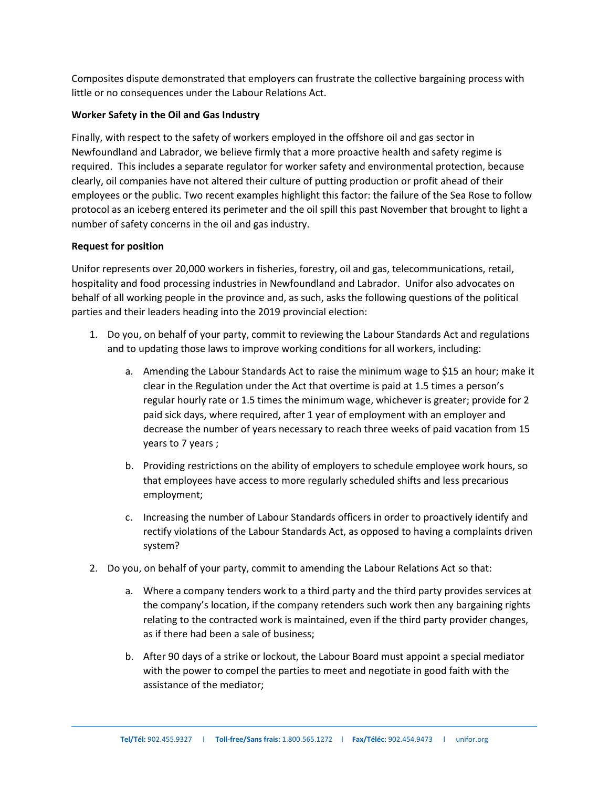Composites dispute demonstrated that employers can frustrate the collective bargaining process with little or no consequences under the Labour Relations Act.

# **Worker Safety in the Oil and Gas Industry**

Finally, with respect to the safety of workers employed in the offshore oil and gas sector in Newfoundland and Labrador, we believe firmly that a more proactive health and safety regime is required. This includes a separate regulator for worker safety and environmental protection, because clearly, oil companies have not altered their culture of putting production or profit ahead of their employees or the public. Two recent examples highlight this factor: the failure of the Sea Rose to follow protocol as an iceberg entered its perimeter and the oil spill this past November that brought to light a number of safety concerns in the oil and gas industry.

## **Request for position**

Unifor represents over 20,000 workers in fisheries, forestry, oil and gas, telecommunications, retail, hospitality and food processing industries in Newfoundland and Labrador. Unifor also advocates on behalf of all working people in the province and, as such, asks the following questions of the political parties and their leaders heading into the 2019 provincial election:

- 1. Do you, on behalf of your party, commit to reviewing the Labour Standards Act and regulations and to updating those laws to improve working conditions for all workers, including:
	- a. Amending the Labour Standards Act to raise the minimum wage to \$15 an hour; make it clear in the Regulation under the Act that overtime is paid at 1.5 times a person's regular hourly rate or 1.5 times the minimum wage, whichever is greater; provide for 2 paid sick days, where required, after 1 year of employment with an employer and decrease the number of years necessary to reach three weeks of paid vacation from 15 years to 7 years ;
	- b. Providing restrictions on the ability of employers to schedule employee work hours, so that employees have access to more regularly scheduled shifts and less precarious employment;
	- c. Increasing the number of Labour Standards officers in order to proactively identify and rectify violations of the Labour Standards Act, as opposed to having a complaints driven system?
- 2. Do you, on behalf of your party, commit to amending the Labour Relations Act so that:
	- a. Where a company tenders work to a third party and the third party provides services at the company's location, if the company retenders such work then any bargaining rights relating to the contracted work is maintained, even if the third party provider changes, as if there had been a sale of business;
	- b. After 90 days of a strike or lockout, the Labour Board must appoint a special mediator with the power to compel the parties to meet and negotiate in good faith with the assistance of the mediator;